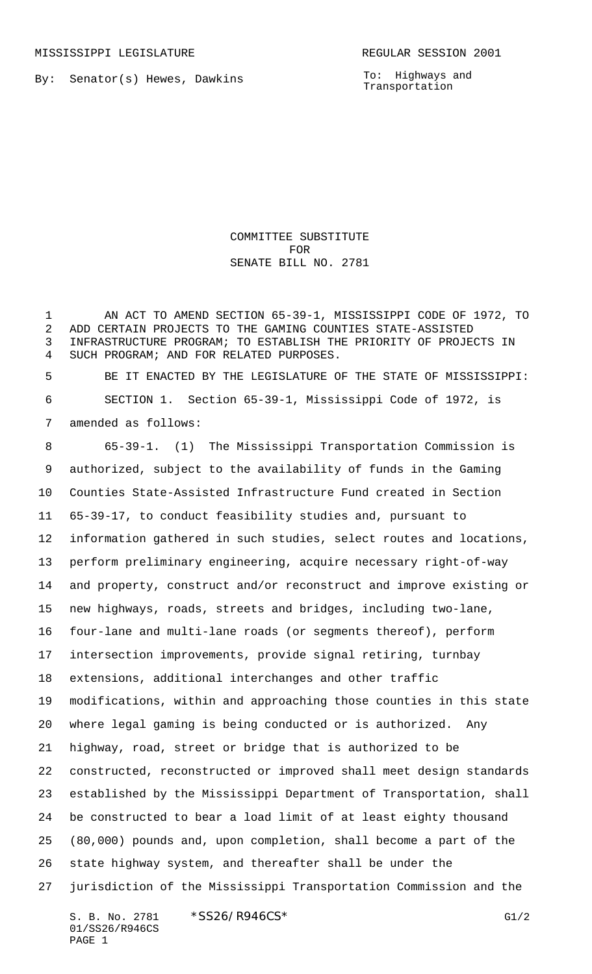By: Senator(s) Hewes, Dawkins

To: Highways and Transportation

COMMITTEE SUBSTITUTE FOR SENATE BILL NO. 2781

 AN ACT TO AMEND SECTION 65-39-1, MISSISSIPPI CODE OF 1972, TO ADD CERTAIN PROJECTS TO THE GAMING COUNTIES STATE-ASSISTED INFRASTRUCTURE PROGRAM; TO ESTABLISH THE PRIORITY OF PROJECTS IN SUCH PROGRAM; AND FOR RELATED PURPOSES.

 BE IT ENACTED BY THE LEGISLATURE OF THE STATE OF MISSISSIPPI: SECTION 1. Section 65-39-1, Mississippi Code of 1972, is amended as follows:

 65-39-1. (1) The Mississippi Transportation Commission is authorized, subject to the availability of funds in the Gaming Counties State-Assisted Infrastructure Fund created in Section 65-39-17, to conduct feasibility studies and, pursuant to information gathered in such studies, select routes and locations, perform preliminary engineering, acquire necessary right-of-way and property, construct and/or reconstruct and improve existing or new highways, roads, streets and bridges, including two-lane, four-lane and multi-lane roads (or segments thereof), perform intersection improvements, provide signal retiring, turnbay extensions, additional interchanges and other traffic modifications, within and approaching those counties in this state where legal gaming is being conducted or is authorized. Any highway, road, street or bridge that is authorized to be constructed, reconstructed or improved shall meet design standards established by the Mississippi Department of Transportation, shall be constructed to bear a load limit of at least eighty thousand (80,000) pounds and, upon completion, shall become a part of the state highway system, and thereafter shall be under the jurisdiction of the Mississippi Transportation Commission and the

S. B. No. 2781 \* SS26/R946CS\* G1/2 01/SS26/R946CS PAGE 1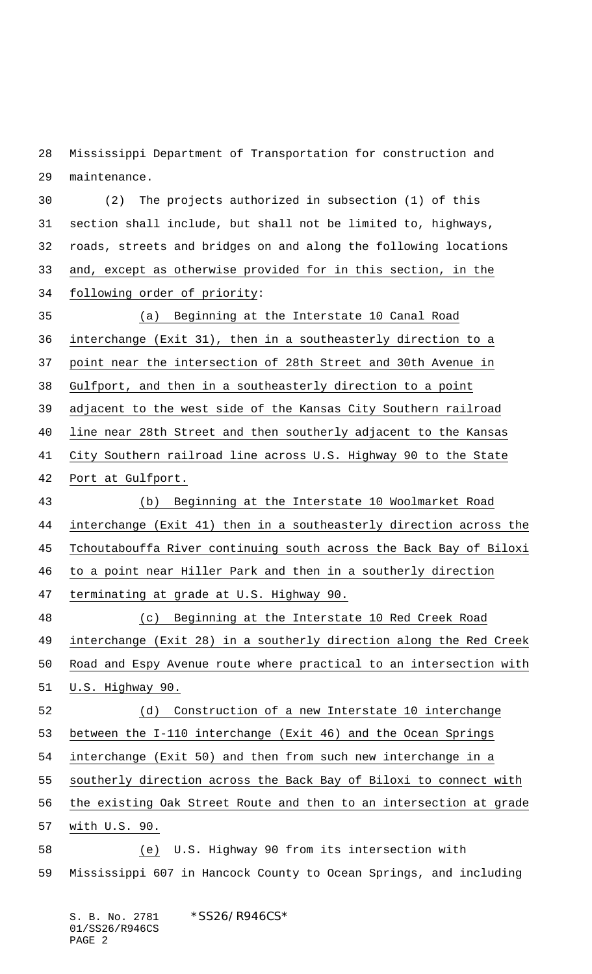Mississippi Department of Transportation for construction and maintenance.

 (2) The projects authorized in subsection (1) of this section shall include, but shall not be limited to, highways, roads, streets and bridges on and along the following locations and, except as otherwise provided for in this section, in the following order of priority:

 (a) Beginning at the Interstate 10 Canal Road interchange (Exit 31), then in a southeasterly direction to a point near the intersection of 28th Street and 30th Avenue in Gulfport, and then in a southeasterly direction to a point adjacent to the west side of the Kansas City Southern railroad line near 28th Street and then southerly adjacent to the Kansas City Southern railroad line across U.S. Highway 90 to the State Port at Gulfport. (b) Beginning at the Interstate 10 Woolmarket Road interchange (Exit 41) then in a southeasterly direction across the Tchoutabouffa River continuing south across the Back Bay of Biloxi to a point near Hiller Park and then in a southerly direction terminating at grade at U.S. Highway 90. (c) Beginning at the Interstate 10 Red Creek Road interchange (Exit 28) in a southerly direction along the Red Creek Road and Espy Avenue route where practical to an intersection with U.S. Highway 90.

 (d) Construction of a new Interstate 10 interchange between the I-110 interchange (Exit 46) and the Ocean Springs interchange (Exit 50) and then from such new interchange in a

southerly direction across the Back Bay of Biloxi to connect with

the existing Oak Street Route and then to an intersection at grade

with U.S. 90.

 (e) U.S. Highway 90 from its intersection with Mississippi 607 in Hancock County to Ocean Springs, and including

S. B. No. 2781 \*SS26/R946CS\* 01/SS26/R946CS PAGE 2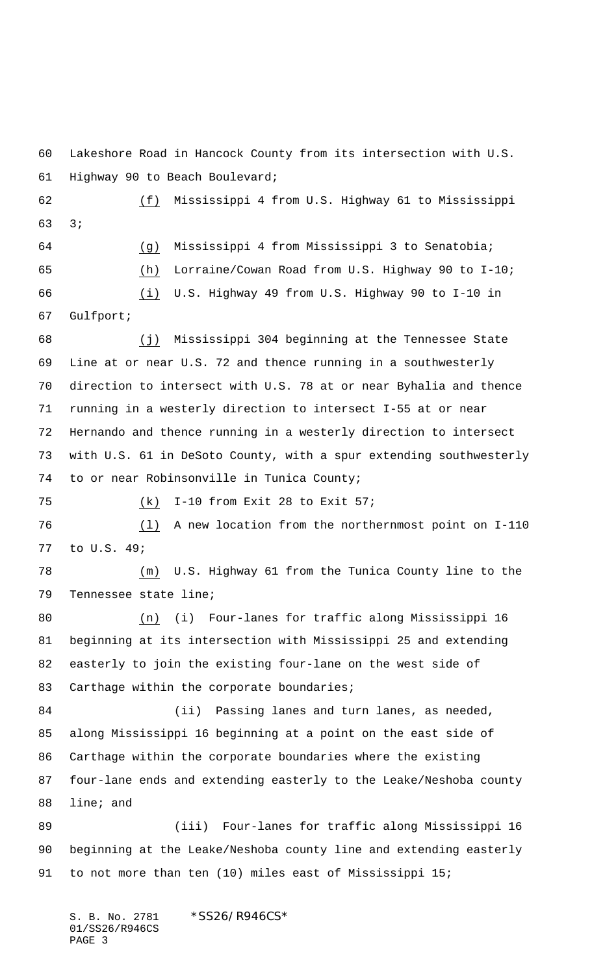Lakeshore Road in Hancock County from its intersection with U.S. Highway 90 to Beach Boulevard; (f) Mississippi 4 from U.S. Highway 61 to Mississippi 3; (g) Mississippi 4 from Mississippi 3 to Senatobia; (h) Lorraine/Cowan Road from U.S. Highway 90 to I-10; (i) U.S. Highway 49 from U.S. Highway 90 to I-10 in Gulfport; (j) Mississippi 304 beginning at the Tennessee State Line at or near U.S. 72 and thence running in a southwesterly direction to intersect with U.S. 78 at or near Byhalia and thence running in a westerly direction to intersect I-55 at or near Hernando and thence running in a westerly direction to intersect with U.S. 61 in DeSoto County, with a spur extending southwesterly to or near Robinsonville in Tunica County; (k) I-10 from Exit 28 to Exit 57; (l) A new location from the northernmost point on I-110 to U.S. 49; (m) U.S. Highway 61 from the Tunica County line to the Tennessee state line; (n) (i) Four-lanes for traffic along Mississippi 16 beginning at its intersection with Mississippi 25 and extending easterly to join the existing four-lane on the west side of 83 Carthage within the corporate boundaries; 84 (ii) Passing lanes and turn lanes, as needed, along Mississippi 16 beginning at a point on the east side of Carthage within the corporate boundaries where the existing four-lane ends and extending easterly to the Leake/Neshoba county line; and (iii) Four-lanes for traffic along Mississippi 16 beginning at the Leake/Neshoba county line and extending easterly to not more than ten (10) miles east of Mississippi 15;

S. B. No. 2781 \*SS26/R946CS\* 01/SS26/R946CS PAGE 3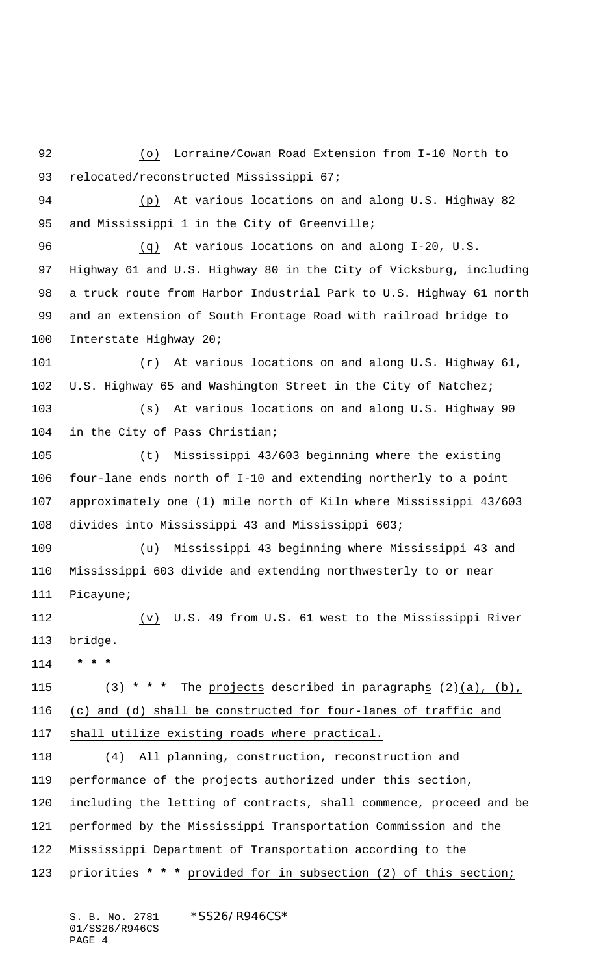(o) Lorraine/Cowan Road Extension from I-10 North to 93 relocated/reconstructed Mississippi 67; (p) At various locations on and along U.S. Highway 82 95 and Mississippi 1 in the City of Greenville; (q) At various locations on and along I-20, U.S. Highway 61 and U.S. Highway 80 in the City of Vicksburg, including a truck route from Harbor Industrial Park to U.S. Highway 61 north and an extension of South Frontage Road with railroad bridge to Interstate Highway 20; (r) At various locations on and along U.S. Highway 61, U.S. Highway 65 and Washington Street in the City of Natchez; (s) At various locations on and along U.S. Highway 90 in the City of Pass Christian; (t) Mississippi 43/603 beginning where the existing four-lane ends north of I-10 and extending northerly to a point approximately one (1) mile north of Kiln where Mississippi 43/603 divides into Mississippi 43 and Mississippi 603; (u) Mississippi 43 beginning where Mississippi 43 and Mississippi 603 divide and extending northwesterly to or near Picayune; (v) U.S. 49 from U.S. 61 west to the Mississippi River bridge.  **\* \* \*** (3) **\* \* \*** The projects described in paragraphs (2)(a), (b), (c) and (d) shall be constructed for four-lanes of traffic and shall utilize existing roads where practical. (4) All planning, construction, reconstruction and performance of the projects authorized under this section, including the letting of contracts, shall commence, proceed and be performed by the Mississippi Transportation Commission and the Mississippi Department of Transportation according to the priorities **\* \* \*** provided for in subsection (2) of this section;

S. B. No. 2781 \*SS26/R946CS\* 01/SS26/R946CS PAGE 4